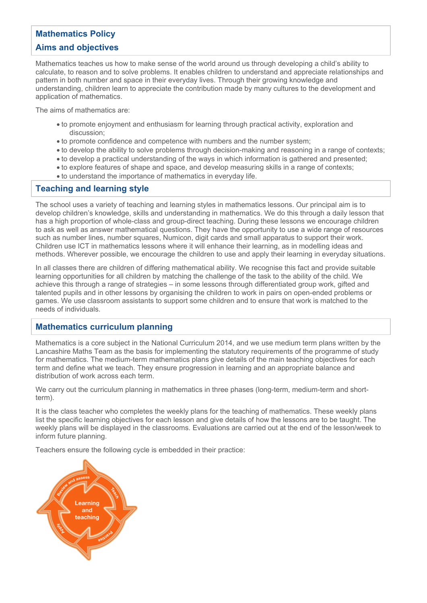# **Mathematics Policy**

# **Aims and objectives**

Mathematics teaches us how to make sense of the world around us through developing a child's ability to calculate, to reason and to solve problems. It enables children to understand and appreciate relationships and pattern in both number and space in their everyday lives. Through their growing knowledge and understanding, children learn to appreciate the contribution made by many cultures to the development and application of mathematics.

The aims of mathematics are:

- to promote enjoyment and enthusiasm for learning through practical activity, exploration and discussion;
- to promote confidence and competence with numbers and the number system;
- to develop the ability to solve problems through decision-making and reasoning in a range of contexts;
- to develop a practical understanding of the ways in which information is gathered and presented;
- to explore features of shape and space, and develop measuring skills in a range of contexts;
- to understand the importance of mathematics in everyday life.

# **Teaching and learning style**

The school uses a variety of teaching and learning styles in mathematics lessons. Our principal aim is to develop children's knowledge, skills and understanding in mathematics. We do this through a daily lesson that has a high proportion of whole-class and group-direct teaching. During these lessons we encourage children to ask as well as answer mathematical questions. They have the opportunity to use a wide range of resources such as number lines, number squares, Numicon, digit cards and small apparatus to support their work. Children use ICT in mathematics lessons where it will enhance their learning, as in modelling ideas and methods. Wherever possible, we encourage the children to use and apply their learning in everyday situations.

In all classes there are children of differing mathematical ability. We recognise this fact and provide suitable learning opportunities for all children by matching the challenge of the task to the ability of the child. We achieve this through a range of strategies – in some lessons through differentiated group work, gifted and talented pupils and in other lessons by organising the children to work in pairs on open-ended problems or games. We use classroom assistants to support some children and to ensure that work is matched to the needs of individuals.

# **Mathematics curriculum planning**

Mathematics is a core subject in the National Curriculum 2014, and we use medium term plans written by the Lancashire Maths Team as the basis for implementing the statutory requirements of the programme of study for mathematics. The medium-term mathematics plans give details of the main teaching objectives for each term and define what we teach. They ensure progression in learning and an appropriate balance and distribution of work across each term.

We carry out the curriculum planning in mathematics in three phases (long-term, medium-term and shortterm).

It is the class teacher who completes the weekly plans for the teaching of mathematics. These weekly plans list the specific learning objectives for each lesson and give details of how the lessons are to be taught. The weekly plans will be displayed in the classrooms. Evaluations are carried out at the end of the lesson/week to inform future planning.

Teachers ensure the following cycle is embedded in their practice:

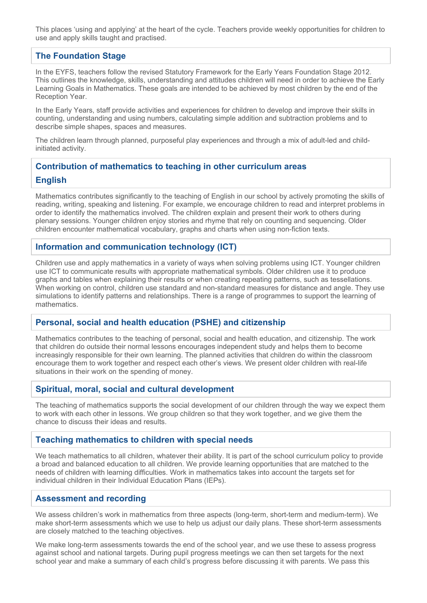This places 'using and applying' at the heart of the cycle. Teachers provide weekly opportunities for children to use and apply skills taught and practised.

## **The Foundation Stage**

In the EYFS, teachers follow the revised Statutory Framework for the Early Years Foundation Stage 2012. This outlines the knowledge, skills, understanding and attitudes children will need in order to achieve the Early Learning Goals in Mathematics. These goals are intended to be achieved by most children by the end of the Reception Year.

In the Early Years, staff provide activities and experiences for children to develop and improve their skills in counting, understanding and using numbers, calculating simple addition and subtraction problems and to describe simple shapes, spaces and measures.

The children learn through planned, purposeful play experiences and through a mix of adult-led and childinitiated activity.

# **Contribution of mathematics to teaching in other curriculum areas**

#### **English**

Mathematics contributes significantly to the teaching of English in our school by actively promoting the skills of reading, writing, speaking and listening. For example, we encourage children to read and interpret problems in order to identify the mathematics involved. The children explain and present their work to others during plenary sessions. Younger children enjoy stories and rhyme that rely on counting and sequencing. Older children encounter mathematical vocabulary, graphs and charts when using non-fiction texts.

## **Information and communication technology (ICT)**

Children use and apply mathematics in a variety of ways when solving problems using ICT. Younger children use ICT to communicate results with appropriate mathematical symbols. Older children use it to produce graphs and tables when explaining their results or when creating repeating patterns, such as tessellations. When working on control, children use standard and non-standard measures for distance and angle. They use simulations to identify patterns and relationships. There is a range of programmes to support the learning of mathematics.

# **Personal, social and health education (PSHE) and citizenship**

Mathematics contributes to the teaching of personal, social and health education, and citizenship. The work that children do outside their normal lessons encourages independent study and helps them to become increasingly responsible for their own learning. The planned activities that children do within the classroom encourage them to work together and respect each other's views. We present older children with real-life situations in their work on the spending of money.

## **Spiritual, moral, social and cultural development**

The teaching of mathematics supports the social development of our children through the way we expect them to work with each other in lessons. We group children so that they work together, and we give them the chance to discuss their ideas and results.

## **Teaching mathematics to children with special needs**

We teach mathematics to all children, whatever their ability. It is part of the school curriculum policy to provide a broad and balanced education to all children. We provide learning opportunities that are matched to the needs of children with learning difficulties. Work in mathematics takes into account the targets set for individual children in their Individual Education Plans (IEPs).

## **Assessment and recording**

We assess children's work in mathematics from three aspects (long-term, short-term and medium-term). We make short-term assessments which we use to help us adjust our daily plans. These short-term assessments are closely matched to the teaching objectives.

We make long-term assessments towards the end of the school year, and we use these to assess progress against school and national targets. During pupil progress meetings we can then set targets for the next school year and make a summary of each child's progress before discussing it with parents. We pass this